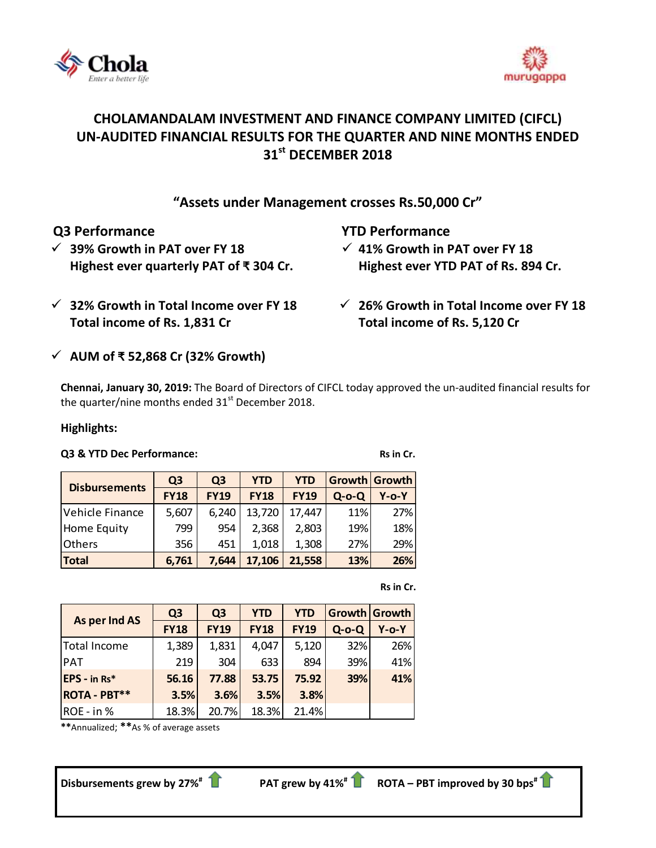



# **CHOLAMANDALAM INVESTMENT AND FINANCE COMPANY LIMITED (CIFCL) UN-AUDITED FINANCIAL RESULTS FOR THE QUARTER AND NINE MONTHS ENDED 31 st DECEMBER 2018**

# **"Assets under Management crosses Rs.50,000 Cr"**

 **39% Growth in PAT over FY 18 Highest ever quarterly PAT of ₹ 304 Cr.**

# **Q3 Performance YTD Performance**

 **41% Growth in PAT over FY 18 Highest ever YTD PAT of Rs. 894 Cr.**

- **32% Growth in Total Income over FY 18 Total income of Rs. 1,831 Cr**
- **26% Growth in Total Income over FY 18 Total income of Rs. 5,120 Cr**

# **AUM of ₹ 52,868 Cr (32% Growth)**

**Chennai, January 30, 2019:** The Board of Directors o[f CIFCL](http://www.cholamandalam.com/) today approved the un-audited financial results for the quarter/nine months ended  $31<sup>st</sup>$  December 2018.

# **Highlights:**

# **Q3** & YTD Dec Performance: Rs in Cr.

| <b>Disbursements</b> | Q <sub>3</sub> | Q <sub>3</sub> | <b>YTD</b>  | <b>YTD</b>  |          | Growth Growth |
|----------------------|----------------|----------------|-------------|-------------|----------|---------------|
|                      | <b>FY18</b>    | <b>FY19</b>    | <b>FY18</b> | <b>FY19</b> | $Q$ -o-Q | Y-o-Y         |
| Vehicle Finance      | 5,607          | 6,240          | 13,720      | 17,447      | 11%      | 27%           |
| <b>Home Equity</b>   | 799            | 954            | 2,368       | 2,803       | 19%      | 18%           |
| <b>Others</b>        | 356            | 451            | 1,018       | 1,308       | 27%      | 29%           |
| <b>Total</b>         | 6,761          | 7.644          | 17,106      | 21,558      | 13%      | 26%           |

|  | Rs in Cr. |
|--|-----------|
|  |           |

| As per Ind AS       | Q <sub>3</sub> | Q <sub>3</sub> | <b>YTD</b>  | <b>YTD</b>  |             | Growth Growth |
|---------------------|----------------|----------------|-------------|-------------|-------------|---------------|
|                     | <b>FY18</b>    | <b>FY19</b>    | <b>FY18</b> | <b>FY19</b> | $Q$ -o- $Q$ | $Y$ -0- $Y$   |
| Total Income        | 1,389          | 1,831          | 4,047       | 5,120       | 32%         | 26%           |
| <b>PAT</b>          | 219            | 304            | 633         | 894         | 39%         | 41%           |
| EPS - in Rs*        | 56.16          | 77.88          | 53.75       | 75.92       | 39%         | 41%           |
| <b>ROTA - PBT**</b> | 3.5%           | 3.6%           | 3.5%        | 3.8%        |             |               |
| ROE - in %          | 18.3%          | 20.7%          | 18.3%       | 21.4%       |             |               |

**\*\***Annualized; **\*\***As % of average assets

**Disbursements grew by 27% #**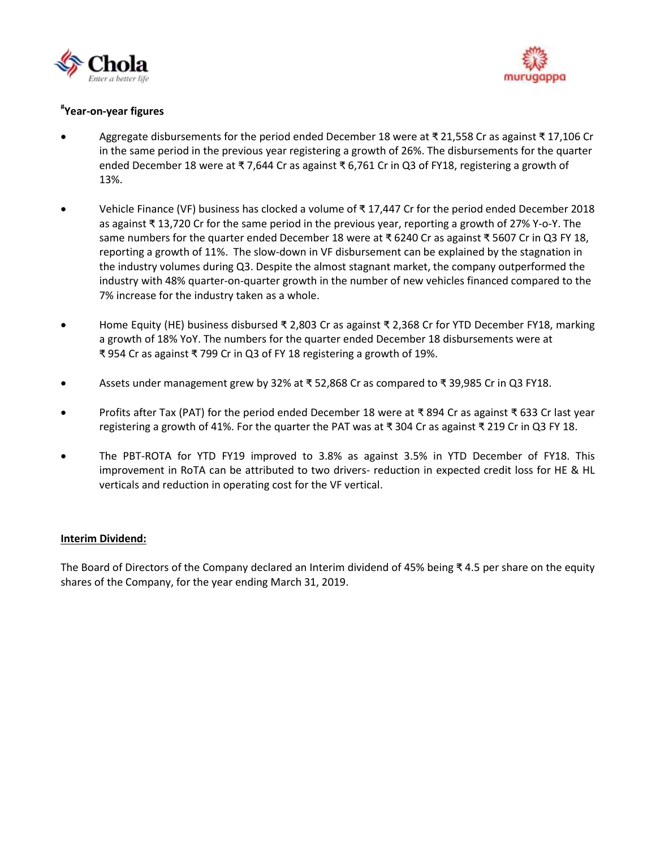



# **# Year-on-year figures**

- Aggregate disbursements for the period ended December 18 were at ₹ 21,558 Cr as against ₹ 17,106 Cr in the same period in the previous year registering a growth of 26%. The disbursements for the quarter ended December 18 were at ₹ 7,644 Cr as against ₹ 6,761 Cr in Q3 of FY18, registering a growth of 13%.
- Vehicle Finance (VF) business has clocked a volume of ₹ 17,447 Cr for the period ended December 2018 as against ₹ 13,720 Cr for the same period in the previous year, reporting a growth of 27% Y-o-Y. The same numbers for the quarter ended December 18 were at ₹ 6240 Cr as against ₹ 5607 Cr in Q3 FY 18, reporting a growth of 11%. The slow-down in VF disbursement can be explained by the stagnation in the industry volumes during Q3. Despite the almost stagnant market, the company outperformed the industry with 48% quarter-on-quarter growth in the number of new vehicles financed compared to the 7% increase for the industry taken as a whole.
- Home Equity (HE) business disbursed ₹ 2,803 Cr as against ₹ 2,368 Cr for YTD December FY18, marking a growth of 18% YoY. The numbers for the quarter ended December 18 disbursements were at ₹ 954 Cr as against ₹ 799 Cr in Q3 of FY 18 registering a growth of 19%.
- Assets under management grew by 32% at ₹ 52,868 Cr as compared to ₹ 39,985 Cr in Q3 FY18.
- Profits after Tax (PAT) for the period ended December 18 were at ₹ 894 Cr as against ₹ 633 Cr last year registering a growth of 41%. For the quarter the PAT was at ₹ 304 Cr as against ₹ 219 Cr in Q3 FY 18.
- The PBT-ROTA for YTD FY19 improved to 3.8% as against 3.5% in YTD December of FY18. This improvement in RoTA can be attributed to two drivers- reduction in expected credit loss for HE & HL verticals and reduction in operating cost for the VF vertical.

### **Interim Dividend:**

The Board of Directors of the Company declared an Interim dividend of 45% being ₹ 4.5 per share on the equity shares of the Company, for the year ending March 31, 2019.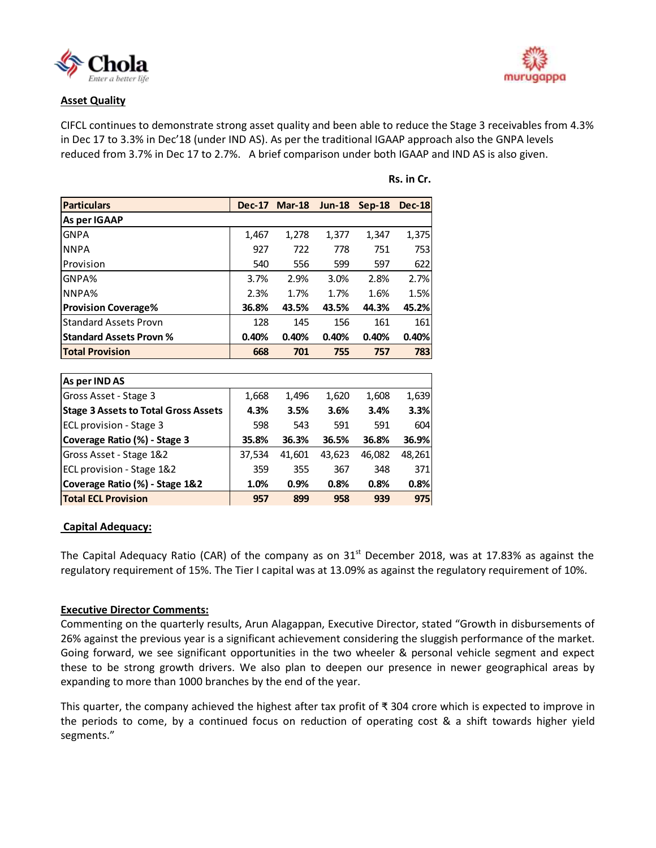

### **Asset Quality**

CIFCL continues to demonstrate strong asset quality and been able to reduce the Stage 3 receivables from 4.3% in Dec 17 to 3.3% in Dec'18 (under IND AS). As per the traditional IGAAP approach also the GNPA levels reduced from 3.7% in Dec 17 to 2.7%. A brief comparison under both IGAAP and IND AS is also given.

| Particulars                    |       | Dec-17 Mar-18 | $Jun-18$ | $Sep-18$ | <b>Dec-18</b> |
|--------------------------------|-------|---------------|----------|----------|---------------|
| As per IGAAP                   |       |               |          |          |               |
| <b>GNPA</b>                    | 1,467 | 1,278         | 1,377    | 1,347    | 1,375         |
| <b>NNPA</b>                    | 927   | 722           | 778      | 751      | 753           |
| <b>Provision</b>               | 540   | 556           | 599      | 597      | 622           |
| <b>GNPA%</b>                   | 3.7%  | 2.9%          | 3.0%     | 2.8%     | 2.7%          |
| NNPA <sub>%</sub>              | 2.3%  | 1.7%          | 1.7%     | 1.6%     | 1.5%          |
| <b>Provision Coverage%</b>     | 36.8% | 43.5%         | 43.5%    | 44.3%    | 45.2%         |
| lStandard Assets Provn         | 128   | 145           | 156      | 161      | 161           |
| <b>Standard Assets Provn %</b> | 0.40% | 0.40%         | 0.40%    | 0.40%    | 0.40%         |
| <b>Total Provision</b>         | 668   | 701           | 755      | 757      | 783           |

| Rs. in Cr. |  |  |
|------------|--|--|
|            |  |  |

| As per IND AS                               |        |        |        |        |        |
|---------------------------------------------|--------|--------|--------|--------|--------|
| Gross Asset - Stage 3                       | 1,668  | 1,496  | 1,620  | 1,608  | 1,639  |
| <b>Stage 3 Assets to Total Gross Assets</b> | 4.3%   | 3.5%   | 3.6%   | 3.4%   | 3.3%   |
| ECL provision - Stage 3                     | 598    | 543    | 591    | 591    | 604    |
| Coverage Ratio (%) - Stage 3                | 35.8%  | 36.3%  | 36.5%  | 36.8%  | 36.9%  |
| Gross Asset - Stage 1&2                     | 37,534 | 41,601 | 43,623 | 46,082 | 48,261 |
| ECL provision - Stage 1&2                   | 359    | 355    | 367    | 348    | 371    |
| Coverage Ratio (%) - Stage 1&2              | 1.0%   | 0.9%   | 0.8%   | 0.8%   | 0.8%   |
| <b>Total ECL Provision</b>                  | 957    | 899    | 958    | 939    | 975    |

### **Capital Adequacy:**

The Capital Adequacy Ratio (CAR) of the company as on  $31<sup>st</sup>$  December 2018, was at 17.83% as against the regulatory requirement of 15%. The Tier I capital was at 13.09% as against the regulatory requirement of 10%.

### **Executive Director Comments:**

Commenting on the quarterly results, Arun Alagappan, Executive Director, stated "Growth in disbursements of 26% against the previous year is a significant achievement considering the sluggish performance of the market. Going forward, we see significant opportunities in the two wheeler & personal vehicle segment and expect these to be strong growth drivers. We also plan to deepen our presence in newer geographical areas by expanding to more than 1000 branches by the end of the year.

This quarter, the company achieved the highest after tax profit of ₹ 304 crore which is expected to improve in the periods to come, by a continued focus on reduction of operating cost & a shift towards higher yield segments."